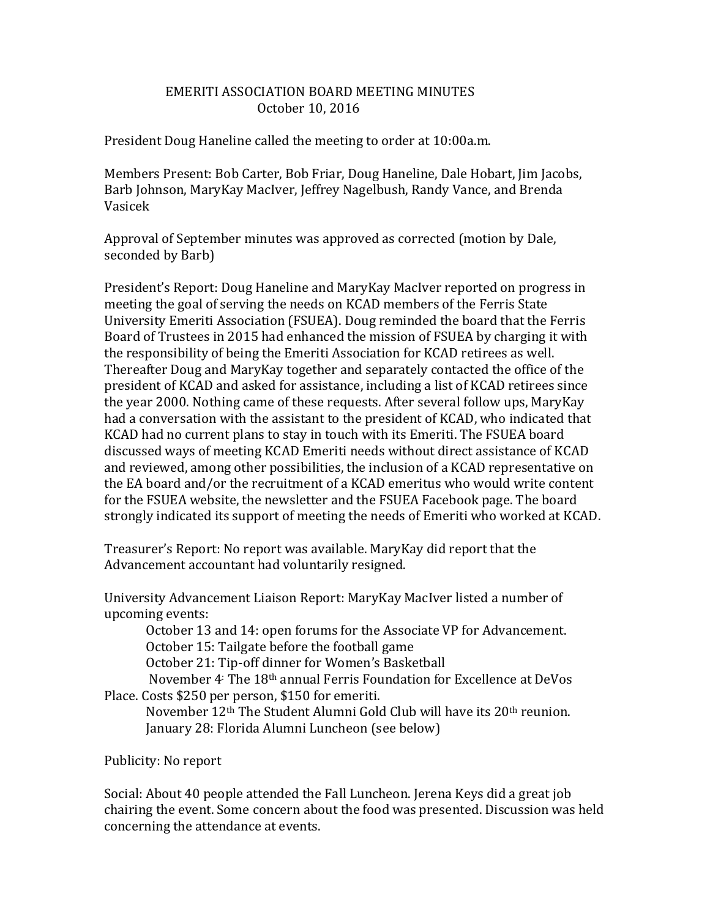## EMERITI ASSOCIATION BOARD MEETING MINUTES October 10, 2016

President Doug Haneline called the meeting to order at 10:00a.m.

Members Present: Bob Carter, Bob Friar, Doug Haneline, Dale Hobart, Jim Jacobs, Barb Johnson, MaryKay MacIver, Jeffrey Nagelbush, Randy Vance, and Brenda Vasicek

Approval of September minutes was approved as corrected (motion by Dale, seconded by Barb)

President's Report: Doug Haneline and MaryKay MacIver reported on progress in meeting the goal of serving the needs on KCAD members of the Ferris State University Emeriti Association (FSUEA). Doug reminded the board that the Ferris Board of Trustees in 2015 had enhanced the mission of FSUEA by charging it with the responsibility of being the Emeriti Association for KCAD retirees as well. Thereafter Doug and MaryKay together and separately contacted the office of the president of KCAD and asked for assistance, including a list of KCAD retirees since the year 2000. Nothing came of these requests. After several follow ups, MaryKay had a conversation with the assistant to the president of KCAD, who indicated that KCAD had no current plans to stay in touch with its Emeriti. The FSUEA board discussed ways of meeting KCAD Emeriti needs without direct assistance of KCAD and reviewed, among other possibilities, the inclusion of a KCAD representative on the EA board and/or the recruitment of a KCAD emeritus who would write content for the FSUEA website, the newsletter and the FSUEA Facebook page. The board strongly indicated its support of meeting the needs of Emeriti who worked at KCAD.

Treasurer's Report: No report was available. MaryKay did report that the Advancement accountant had voluntarily resigned.

University Advancement Liaison Report: MaryKay MacIver listed a number of upcoming events:

October 13 and 14: open forums for the Associate VP for Advancement. October 15: Tailgate before the football game

October 21: Tip-off dinner for Women's Basketball

November 4: The 18th annual Ferris Foundation for Excellence at DeVos Place. Costs \$250 per person, \$150 for emeriti.

November 12th The Student Alumni Gold Club will have its 20th reunion. January 28: Florida Alumni Luncheon (see below)

Publicity: No report

Social: About 40 people attended the Fall Luncheon. Jerena Keys did a great job chairing the event. Some concern about the food was presented. Discussion was held concerning the attendance at events.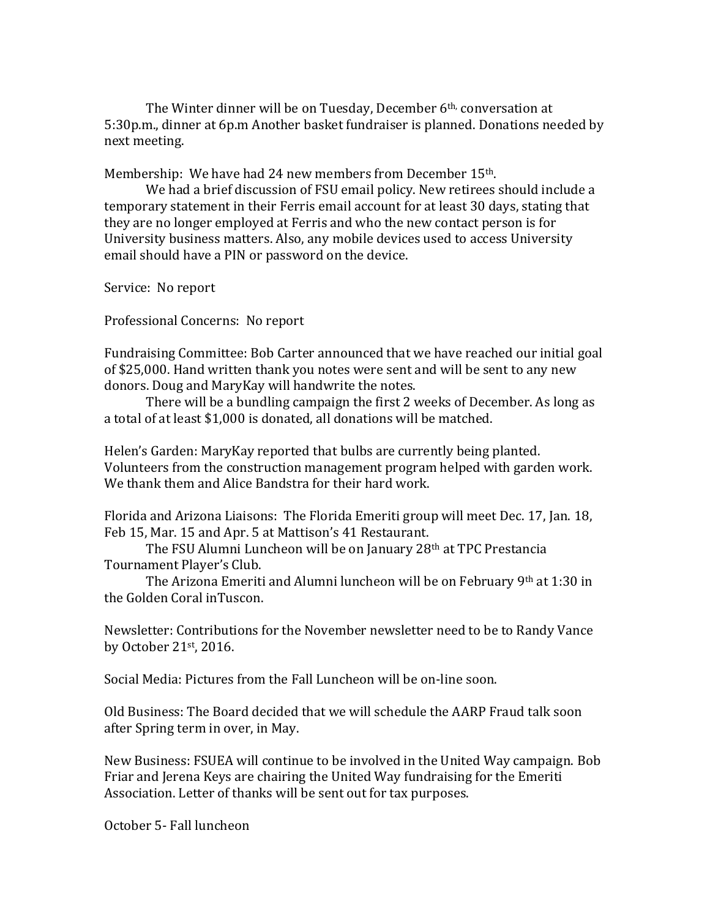The Winter dinner will be on Tuesday, December 6<sup>th,</sup> conversation at 5:30p.m., dinner at 6p.m Another basket fundraiser is planned. Donations needed by next meeting.

Membership: We have had 24 new members from December 15th.

We had a brief discussion of FSU email policy. New retirees should include a temporary statement in their Ferris email account for at least 30 days, stating that they are no longer employed at Ferris and who the new contact person is for University business matters. Also, any mobile devices used to access University email should have a PIN or password on the device.

Service: No report

Professional Concerns: No report

Fundraising Committee: Bob Carter announced that we have reached our initial goal of \$25,000. Hand written thank you notes were sent and will be sent to any new donors. Doug and MaryKay will handwrite the notes.

There will be a bundling campaign the first 2 weeks of December. As long as a total of at least \$1,000 is donated, all donations will be matched.

Helen's Garden: MaryKay reported that bulbs are currently being planted. Volunteers from the construction management program helped with garden work. We thank them and Alice Bandstra for their hard work.

Florida and Arizona Liaisons: The Florida Emeriti group will meet Dec. 17, Jan. 18, Feb 15, Mar. 15 and Apr. 5 at Mattison's 41 Restaurant.

The FSU Alumni Luncheon will be on January 28th at TPC Prestancia Tournament Player's Club.

The Arizona Emeriti and Alumni luncheon will be on February 9th at 1:30 in the Golden Coral inTuscon.

Newsletter: Contributions for the November newsletter need to be to Randy Vance by October 21st, 2016.

Social Media: Pictures from the Fall Luncheon will be on-line soon.

Old Business: The Board decided that we will schedule the AARP Fraud talk soon after Spring term in over, in May.

New Business: FSUEA will continue to be involved in the United Way campaign. Bob Friar and Jerena Keys are chairing the United Way fundraising for the Emeriti Association. Letter of thanks will be sent out for tax purposes.

October 5- Fall luncheon